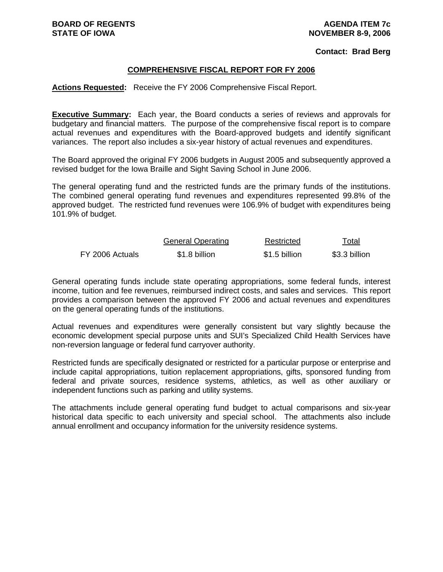#### **Contact: Brad Berg**

### **COMPREHENSIVE FISCAL REPORT FOR FY 2006**

**Actions Requested:** Receive the FY 2006 Comprehensive Fiscal Report.

**Executive Summary:** Each year, the Board conducts a series of reviews and approvals for budgetary and financial matters. The purpose of the comprehensive fiscal report is to compare actual revenues and expenditures with the Board-approved budgets and identify significant variances. The report also includes a six-year history of actual revenues and expenditures.

The Board approved the original FY 2006 budgets in August 2005 and subsequently approved a revised budget for the Iowa Braille and Sight Saving School in June 2006.

The general operating fund and the restricted funds are the primary funds of the institutions. The combined general operating fund revenues and expenditures represented 99.8% of the approved budget. The restricted fund revenues were 106.9% of budget with expenditures being 101.9% of budget.

|                 | <b>General Operating</b> | Restricted    | Total         |
|-----------------|--------------------------|---------------|---------------|
| FY 2006 Actuals | \$1.8 billion            | \$1.5 billion | \$3.3 billion |

General operating funds include state operating appropriations, some federal funds, interest income, tuition and fee revenues, reimbursed indirect costs, and sales and services. This report provides a comparison between the approved FY 2006 and actual revenues and expenditures on the general operating funds of the institutions.

Actual revenues and expenditures were generally consistent but vary slightly because the economic development special purpose units and SUI's Specialized Child Health Services have non-reversion language or federal fund carryover authority.

Restricted funds are specifically designated or restricted for a particular purpose or enterprise and include capital appropriations, tuition replacement appropriations, gifts, sponsored funding from federal and private sources, residence systems, athletics, as well as other auxiliary or independent functions such as parking and utility systems.

The attachments include general operating fund budget to actual comparisons and six-year historical data specific to each university and special school. The attachments also include annual enrollment and occupancy information for the university residence systems.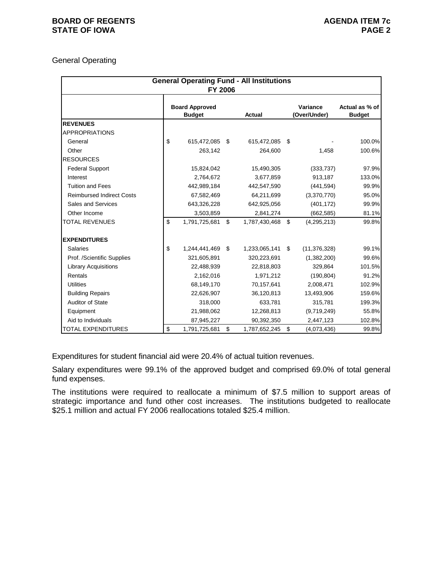### **BOARD OF REGENTS AGENUS AGENDA ITEM 7c STATE OF IOWA** PAGE 2

# General Operating

|                                  | <b>FY 2006</b>                         | <b>General Operating Fund - All Institutions</b> |                          |                                 |
|----------------------------------|----------------------------------------|--------------------------------------------------|--------------------------|---------------------------------|
|                                  | <b>Board Approved</b><br><b>Budget</b> | <b>Actual</b>                                    | Variance<br>(Over/Under) | Actual as % of<br><b>Budget</b> |
| <b>REVENUES</b>                  |                                        |                                                  |                          |                                 |
| <b>APPROPRIATIONS</b>            |                                        |                                                  |                          |                                 |
| General                          | \$<br>615,472,085                      | \$<br>615,472,085                                | \$                       | 100.0%                          |
| Other                            | 263,142                                | 264.600                                          | 1,458                    | 100.6%                          |
| <b>RESOURCES</b>                 |                                        |                                                  |                          |                                 |
| <b>Federal Support</b>           | 15,824,042                             | 15,490,305                                       | (333, 737)               | 97.9%                           |
| Interest                         | 2,764,672                              | 3,677,859                                        | 913,187                  | 133.0%                          |
| <b>Tuition and Fees</b>          | 442,989,184                            | 442,547,590                                      | (441, 594)               | 99.9%                           |
| <b>Reimbursed Indirect Costs</b> | 67,582,469                             | 64,211,699                                       | (3,370,770)              | 95.0%                           |
| Sales and Services               | 643,326,228                            | 642,925,056                                      | (401, 172)               | 99.9%                           |
| Other Income                     | 3,503,859                              | 2,841,274                                        | (662, 585)               | 81.1%                           |
| <b>TOTAL REVENUES</b>            | \$<br>1,791,725,681                    | \$<br>1,787,430,468                              | \$<br>(4, 295, 213)      | 99.8%                           |
| <b>EXPENDITURES</b>              |                                        |                                                  |                          |                                 |
| Salaries                         | \$<br>1,244,441,469                    | \$<br>1,233,065,141                              | \$<br>(11, 376, 328)     | 99.1%                           |
| Prof. /Scientific Supplies       | 321,605,891                            | 320,223,691                                      | (1,382,200)              | 99.6%                           |
| <b>Library Acquisitions</b>      | 22,488,939                             | 22,818,803                                       | 329,864                  | 101.5%                          |
| Rentals                          | 2,162,016                              | 1,971,212                                        | (190, 804)               | 91.2%                           |
| <b>Utilities</b>                 | 68,149,170                             | 70,157,641                                       | 2,008,471                | 102.9%                          |
| <b>Building Repairs</b>          | 22,626,907                             | 36,120,813                                       | 13,493,906               | 159.6%                          |
| <b>Auditor of State</b>          | 318,000                                | 633,781                                          | 315,781                  | 199.3%                          |
| Equipment                        | 21,988,062                             | 12,268,813                                       | (9,719,249)              | 55.8%                           |
| Aid to Individuals               | 87,945,227                             | 90,392,350                                       | 2,447,123                | 102.8%                          |
| <b>TOTAL EXPENDITURES</b>        | \$<br>1,791,725,681                    | \$<br>1,787,652,245                              | \$<br>(4,073,436)        | 99.8%                           |

Expenditures for student financial aid were 20.4% of actual tuition revenues.

Salary expenditures were 99.1% of the approved budget and comprised 69.0% of total general fund expenses.

The institutions were required to reallocate a minimum of \$7.5 million to support areas of strategic importance and fund other cost increases. The institutions budgeted to reallocate \$25.1 million and actual FY 2006 reallocations totaled \$25.4 million.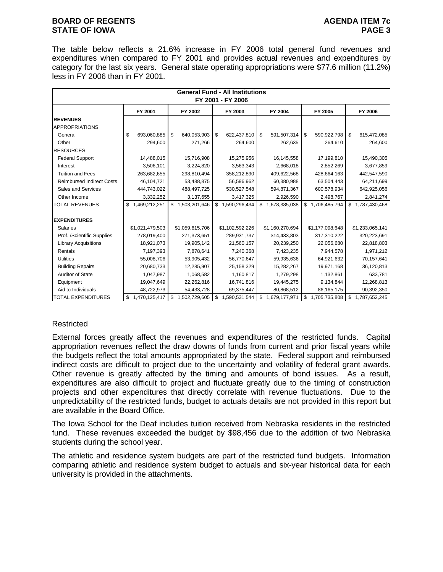### **BOARD OF REGENTS AGENUS AGENDA ITEM 7c STATE OF IOWA** PAGE 3

The table below reflects a 21.6% increase in FY 2006 total general fund revenues and expenditures when compared to FY 2001 and provides actual revenues and expenditures by category for the last six years. General state operating appropriations were \$77.6 million (11.2%) less in FY 2006 than in FY 2001.

|                                  |                     |                     | <b>General Fund - All Institutions</b><br>FY 2001 - FY 2006 |                     |                     |                     |
|----------------------------------|---------------------|---------------------|-------------------------------------------------------------|---------------------|---------------------|---------------------|
|                                  | FY 2001             | FY 2002             | FY 2003                                                     | FY 2004             | FY 2005             | FY 2006             |
| <b>REVENUES</b>                  |                     |                     |                                                             |                     |                     |                     |
| <b>APPROPRIATIONS</b>            |                     |                     |                                                             |                     |                     |                     |
| General                          | \$<br>693,060,885   | \$<br>640,053,903   | \$<br>622,437,810                                           | \$<br>591,507,314   | \$<br>590,922,798   | \$<br>615,472,085   |
| Other                            | 294,600             | 271,266             | 264,600                                                     | 262,635             | 264,610             | 264,600             |
| <b>RESOURCES</b>                 |                     |                     |                                                             |                     |                     |                     |
| <b>Federal Support</b>           | 14,488,015          | 15,716,908          | 15,275,956                                                  | 16,145,558          | 17,199,810          | 15,490,305          |
| Interest                         | 3,506,101           | 3,224,820           | 3,563,343                                                   | 2,668,018           | 2,852,269           | 3,677,859           |
| <b>Tuition and Fees</b>          | 263,682,655         | 298,810,494         | 358,212,890                                                 | 409,622,568         | 428,664,163         | 442,547,590         |
| <b>Reimbursed Indirect Costs</b> | 46,104,721          | 53,488,875          | 56,596,962                                                  | 60,380,988          | 63,504,443          | 64,211,699          |
| Sales and Services               | 444,743,022         | 488, 497, 725       | 530,527,548                                                 | 594,871,367         | 600,578,934         | 642,925,056         |
| Other Income                     | 3,332,252           | 3,137,655           | 3,417,325                                                   | 2,926,590           | 2,498,767           | 2,841,274           |
| <b>TOTAL REVENUES</b>            | \$<br>1,469,212,251 | \$1,503,201,646     | \$<br>1,590,296,434                                         | \$<br>1,678,385,038 | \$1,706,485,794     | \$1,787,430,468     |
|                                  |                     |                     |                                                             |                     |                     |                     |
| <b>EXPENDITURES</b>              |                     |                     |                                                             |                     |                     |                     |
| <b>Salaries</b>                  | \$1,021,479,503     | \$1,059,615,706     | \$1,102,592,226                                             | \$1,160,270,694     | \$1,177,098,648     | \$1,233,065,141     |
| Prof. /Scientific Supplies       | 278,019,400         | 271,373,651         | 289,931,737                                                 | 314,433,803         | 317,310,222         | 320,223,691         |
| <b>Library Acquisitions</b>      | 18,921,073          | 19,905,142          | 21,560,157                                                  | 20,239,250          | 22,056,680          | 22,818,803          |
| Rentals                          | 7,197,393           | 7,878,641           | 7,240,368                                                   | 7,423,235           | 7,944,578           | 1,971,212           |
| <b>Utilities</b>                 | 55,008,706          | 53,905,432          | 56,770,647                                                  | 59,935,636          | 64,921,632          | 70,157,641          |
| <b>Building Repairs</b>          | 20,680,733          | 12,285,907          | 25,158,329                                                  | 15,282,267          | 19,971,168          | 36,120,813          |
| Auditor of State                 | 1,047,987           | 1,068,582           | 1,160,817                                                   | 1,279,298           | 1,132,861           | 633,781             |
| Equipment                        | 19,047,649          | 22,262,816          | 16,741,816                                                  | 19,445,275          | 9,134,844           | 12,268,813          |
| Aid to Individuals               | 48,722,973          | 54,433,728          | 69,375,447                                                  | 80,868,512          | 86, 165, 175        | 90,392,350          |
| <b>TOTAL EXPENDITURES</b>        | \$<br>1,470,125,417 | 1,502,729,605<br>\$ | \$<br>1,590,531,544                                         | \$<br>1,679,177,971 | 1,705,735,808<br>\$ | \$<br>1,787,652,245 |

# Restricted

External forces greatly affect the revenues and expenditures of the restricted funds. Capital appropriation revenues reflect the draw downs of funds from current and prior fiscal years while the budgets reflect the total amounts appropriated by the state. Federal support and reimbursed indirect costs are difficult to project due to the uncertainty and volatility of federal grant awards. Other revenue is greatly affected by the timing and amounts of bond issues. As a result, expenditures are also difficult to project and fluctuate greatly due to the timing of construction projects and other expenditures that directly correlate with revenue fluctuations. Due to the unpredictability of the restricted funds, budget to actuals details are not provided in this report but are available in the Board Office.

The Iowa School for the Deaf includes tuition received from Nebraska residents in the restricted fund. These revenues exceeded the budget by \$98,456 due to the addition of two Nebraska students during the school year.

The athletic and residence system budgets are part of the restricted fund budgets. Information comparing athletic and residence system budget to actuals and six-year historical data for each university is provided in the attachments.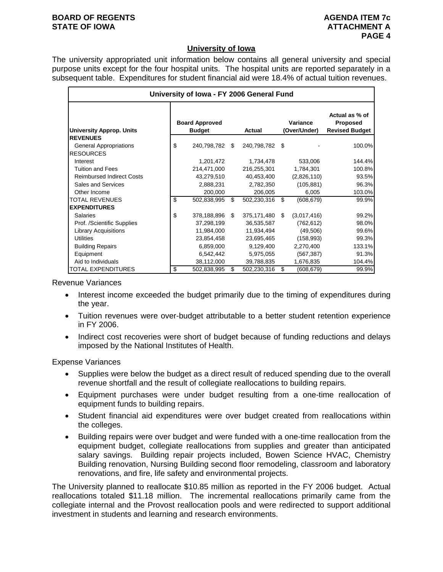#### **BOARD OF REGENTS AGENUS AGENDA ITEM 7c STATE OF IOWA ATTACHMENT A**

### **University of Iowa**

The university appropriated unit information below contains all general university and special purpose units except for the four hospital units. The hospital units are reported separately in a subsequent table. Expenditures for student financial aid were 18.4% of actual tuition revenues.

| University of Iowa - FY 2006 General Fund |    |                                        |     |               |    |                          |                                                     |  |  |  |  |  |
|-------------------------------------------|----|----------------------------------------|-----|---------------|----|--------------------------|-----------------------------------------------------|--|--|--|--|--|
| <b>University Approp. Units</b>           |    | <b>Board Approved</b><br><b>Budget</b> |     | <b>Actual</b> |    | Variance<br>(Over/Under) | Actual as % of<br>Proposed<br><b>Revised Budget</b> |  |  |  |  |  |
| <b>REVENUES</b>                           |    |                                        |     |               |    |                          |                                                     |  |  |  |  |  |
| <b>General Appropriations</b>             | \$ | 240,798,782                            | \$  | 240,798,782   | \$ |                          | 100.0%                                              |  |  |  |  |  |
| <b>RESOURCES</b>                          |    |                                        |     |               |    |                          |                                                     |  |  |  |  |  |
| Interest                                  |    | 1,201,472                              |     | 1,734,478     |    | 533,006                  | 144.4%                                              |  |  |  |  |  |
| <b>Tuition and Fees</b>                   |    | 214,471,000                            |     | 216,255,301   |    | 1,784,301                | 100.8%                                              |  |  |  |  |  |
| <b>Reimbursed Indirect Costs</b>          |    | 43,279,510                             |     | 40,453,400    |    | (2,826,110)              | 93.5%                                               |  |  |  |  |  |
| Sales and Services                        |    | 2,888,231                              |     | 2,782,350     |    | (105, 881)               | 96.3%                                               |  |  |  |  |  |
| Other Income                              |    | 200,000                                |     | 206,005       |    | 6,005                    | 103.0%                                              |  |  |  |  |  |
| <b>TOTAL REVENUES</b>                     | \$ | 502,838,995                            | \$  | 502,230,316   | \$ | (608, 679)               | 99.9%                                               |  |  |  |  |  |
| <b>EXPENDITURES</b>                       |    |                                        |     |               |    |                          |                                                     |  |  |  |  |  |
| Salaries                                  | \$ | 378,188,896                            | \$. | 375,171,480   | \$ | (3,017,416)              | 99.2%                                               |  |  |  |  |  |
| Prof. /Scientific Supplies                |    | 37,298,199                             |     | 36,535,587    |    | (762, 612)               | 98.0%                                               |  |  |  |  |  |
| <b>Library Acquisitions</b>               |    | 11,984,000                             |     | 11,934,494    |    | (49,506)                 | 99.6%                                               |  |  |  |  |  |
| Utilities                                 |    | 23,854,458                             |     | 23,695,465    |    | (158, 993)               | 99.3%                                               |  |  |  |  |  |
| <b>Building Repairs</b>                   |    | 6,859,000                              |     | 9,129,400     |    | 2,270,400                | 133.1%                                              |  |  |  |  |  |
| Equipment                                 |    | 6,542,442                              |     | 5,975,055     |    | (567, 387)               | 91.3%                                               |  |  |  |  |  |
| Aid to Individuals                        |    | 38,112,000                             |     | 39,788,835    |    | 1,676,835                | 104.4%                                              |  |  |  |  |  |
| <b>TOTAL EXPENDITURES</b>                 | \$ | 502,838,995                            | \$  | 502,230,316   | \$ | (608, 679)               | 99.9%                                               |  |  |  |  |  |

### Revenue Variances

- Interest income exceeded the budget primarily due to the timing of expenditures during the year.
- Tuition revenues were over-budget attributable to a better student retention experience in FY 2006.
- Indirect cost recoveries were short of budget because of funding reductions and delays imposed by the National Institutes of Health.

#### Expense Variances

- Supplies were below the budget as a direct result of reduced spending due to the overall revenue shortfall and the result of collegiate reallocations to building repairs.
- Equipment purchases were under budget resulting from a one-time reallocation of equipment funds to building repairs.
- Student financial aid expenditures were over budget created from reallocations within the colleges.
- Building repairs were over budget and were funded with a one-time reallocation from the equipment budget, collegiate reallocations from supplies and greater than anticipated salary savings. Building repair projects included, Bowen Science HVAC, Chemistry Building renovation, Nursing Building second floor remodeling, classroom and laboratory renovations, and fire, life safety and environmental projects.

The University planned to reallocate \$10.85 million as reported in the FY 2006 budget. Actual reallocations totaled \$11.18 million. The incremental reallocations primarily came from the collegiate internal and the Provost reallocation pools and were redirected to support additional investment in students and learning and research environments.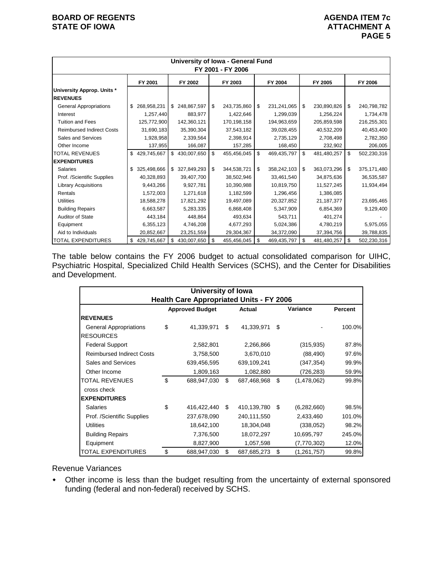|                                               | University of Iowa - General Fund<br>FY 2001 - FY 2006 |             |    |               |    |             |    |             |    |              |    |               |
|-----------------------------------------------|--------------------------------------------------------|-------------|----|---------------|----|-------------|----|-------------|----|--------------|----|---------------|
|                                               |                                                        | FY 2001     |    | FY 2002       |    | FY 2003     |    | FY 2004     |    | FY 2005      |    | FY 2006       |
| University Approp. Units *<br><b>REVENUES</b> |                                                        |             |    |               |    |             |    |             |    |              |    |               |
| <b>General Appropriations</b>                 | \$                                                     | 268,958,231 | \$ | 248,867,597   | \$ | 243,735,860 | \$ | 231,241,065 | \$ | 230,890,826  | \$ | 240,798,782   |
| Interest                                      |                                                        | 1,257,440   |    | 883,977       |    | 1,422,646   |    | 1,299,039   |    | 1,256,224    |    | 1,734,478     |
| <b>Tuition and Fees</b>                       |                                                        | 125,772,900 |    | 142,360,121   |    | 170,198,158 |    | 194,963,659 |    | 205,859,598  |    | 216,255,301   |
| <b>Reimbursed Indirect Costs</b>              |                                                        | 31,690,183  |    | 35,390,304    |    | 37,543,182  |    | 39,028,455  |    | 40,532,209   |    | 40,453,400    |
| Sales and Services                            |                                                        | 1,928,958   |    | 2,339,564     |    | 2,398,914   |    | 2,735,129   |    | 2,708,498    |    | 2,782,350     |
| Other Income                                  |                                                        | 137,955     |    | 166,087       |    | 157,285     |    | 168,450     |    | 232,902      |    | 206,005       |
| <b>TOTAL REVENUES</b>                         | \$                                                     | 429,745,667 |    | \$430,007,650 | \$ | 455,456,045 | \$ | 469,435,797 | \$ | 481,480,257  | \$ | 502,230,316   |
| <b>EXPENDITURES</b>                           |                                                        |             |    |               |    |             |    |             |    |              |    |               |
| <b>Salaries</b>                               | \$                                                     | 325,498,666 | \$ | 327,849,293   | \$ | 344,538,721 | \$ | 358,242,103 | \$ | 363,073,296  | \$ | 375, 171, 480 |
| Prof. /Scientific Supplies                    |                                                        | 40,328,893  |    | 39,407,700    |    | 38,502,946  |    | 33,461,540  |    | 34,875,636   |    | 36,535,587    |
| <b>Library Acquisitions</b>                   |                                                        | 9,443,266   |    | 9,927,781     |    | 10,390,988  |    | 10,819,750  |    | 11,527,245   |    | 11,934,494    |
| Rentals                                       |                                                        | 1,572,003   |    | 1,271,618     |    | 1,182,599   |    | 1,296,456   |    | 1,386,085    |    |               |
| <b>Utilities</b>                              |                                                        | 18,588,278  |    | 17,821,292    |    | 19,497,089  |    | 20,327,852  |    | 21, 187, 377 |    | 23,695,465    |
| <b>Building Repairs</b>                       |                                                        | 6,663,587   |    | 5,283,335     |    | 6,868,408   |    | 5,347,909   |    | 6,854,369    |    | 9,129,400     |
| <b>Auditor of State</b>                       |                                                        | 443,184     |    | 448,864       |    | 493,634     |    | 543,711     |    | 401,274      |    |               |
| Equipment                                     |                                                        | 6,355,123   |    | 4,746,208     |    | 4,677,293   |    | 5,024,386   |    | 4,780,219    |    | 5,975,055     |
| Aid to Individuals                            |                                                        | 20,852,667  |    | 23,251,559    |    | 29,304,367  |    | 34,372,090  |    | 37,394,756   |    | 39,788,835    |
| <b>TOTAL EXPENDITURES</b>                     | \$                                                     | 429,745,667 | \$ | 430,007,650   | \$ | 455,456,045 | \$ | 469,435,797 | \$ | 481,480,257  | \$ | 502,230,316   |

The table below contains the FY 2006 budget to actual consolidated comparison for UIHC, Psychiatric Hospital, Specialized Child Health Services (SCHS), and the Center for Disabilities and Development.

|                                  | <b>University of lowa</b><br><b>Health Care Appropriated Units - FY 2006</b> |             |    |                |    |             |         |  |  |  |  |  |
|----------------------------------|------------------------------------------------------------------------------|-------------|----|----------------|----|-------------|---------|--|--|--|--|--|
|                                  | <b>Approved Budget</b>                                                       |             |    | Actual         |    | Variance    | Percent |  |  |  |  |  |
| <b>REVENUES</b>                  |                                                                              |             |    |                |    |             |         |  |  |  |  |  |
| <b>General Appropriations</b>    | \$                                                                           | 41,339,971  | \$ | 41,339,971     | \$ |             | 100.0%  |  |  |  |  |  |
| <b>RESOURCES</b>                 |                                                                              |             |    |                |    |             |         |  |  |  |  |  |
| <b>Federal Support</b>           |                                                                              | 2,582,801   |    | 2,266,866      |    | (315,935)   | 87.8%   |  |  |  |  |  |
| <b>Reimbursed Indirect Costs</b> |                                                                              | 3,758,500   |    | 3,670,010      |    | (88, 490)   | 97.6%   |  |  |  |  |  |
| <b>Sales and Services</b>        |                                                                              | 639,456,595 |    | 639,109,241    |    | (347, 354)  | 99.9%   |  |  |  |  |  |
| Other Income                     |                                                                              | 1,809,163   |    | 1,082,880      |    | (726,283)   | 59.9%   |  |  |  |  |  |
| <b>TOTAL REVENUES</b>            | \$                                                                           | 688,947,030 | \$ | 687,468,968    | \$ | (1,478,062) | 99.8%   |  |  |  |  |  |
| cross check                      |                                                                              |             |    |                |    |             |         |  |  |  |  |  |
| <b>EXPENDITURES</b>              |                                                                              |             |    |                |    |             |         |  |  |  |  |  |
| <b>Salaries</b>                  | \$                                                                           | 416,422,440 | \$ | 410,139,780 \$ |    | (6,282,660) | 98.5%   |  |  |  |  |  |
| Prof. /Scientific Supplies       |                                                                              | 237,678,090 |    | 240,111,550    |    | 2,433,460   | 101.0%  |  |  |  |  |  |
| <b>Utilities</b>                 |                                                                              | 18,642,100  |    | 18,304,048     |    | (338,052)   | 98.2%   |  |  |  |  |  |
| <b>Building Repairs</b>          |                                                                              | 7,376,500   |    | 18,072,297     |    | 10,695,797  | 245.0%  |  |  |  |  |  |
| Equipment                        |                                                                              | 8,827,900   |    | 1,057,598      |    | (7,770,302) | 12.0%   |  |  |  |  |  |
| <b>TOTAL EXPENDITURES</b>        | \$                                                                           | 688,947,030 | \$ | 687,685,273    | \$ | (1,261,757) | 99.8%   |  |  |  |  |  |

#### Revenue Variances

 Other income is less than the budget resulting from the uncertainty of external sponsored funding (federal and non-federal) received by SCHS.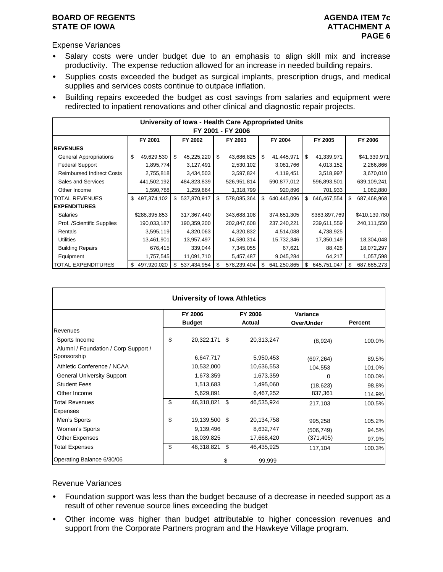### **BOARD OF REGENTS AGENUS AGENDA ITEM 7c STATE OF IOWA ATTACHMENT A**

Expense Variances

- Salary costs were under budget due to an emphasis to align skill mix and increase productivity. The expense reduction allowed for an increase in needed building repairs.
- Supplies costs exceeded the budget as surgical implants, prescription drugs, and medical supplies and services costs continue to outpace inflation.
- Building repairs exceeded the budget as cost savings from salaries and equipment were redirected to inpatient renovations and other clinical and diagnostic repair projects.

|                                  |                   |                   | University of Iowa - Health Care Appropriated Units |                   |                   |                   |  |  |  |  |  |
|----------------------------------|-------------------|-------------------|-----------------------------------------------------|-------------------|-------------------|-------------------|--|--|--|--|--|
| FY 2001 - FY 2006                |                   |                   |                                                     |                   |                   |                   |  |  |  |  |  |
|                                  | FY 2001           | FY 2002           | FY 2003                                             | FY 2004           | FY 2005           | FY 2006           |  |  |  |  |  |
| <b>REVENUES</b>                  |                   |                   |                                                     |                   |                   |                   |  |  |  |  |  |
| <b>General Appropriations</b>    | \$<br>49,629,530  | \$<br>45,225,220  | \$<br>43,686,825                                    | 41,445,971<br>\$  | \$<br>41,339,971  | \$41,339,971      |  |  |  |  |  |
| <b>Federal Support</b>           | 1,895,774         | 3,127,491         | 2,530,102                                           | 3,081,766         | 4,013,152         | 2,266,866         |  |  |  |  |  |
| <b>Reimbursed Indirect Costs</b> | 2,755,818         | 3,434,503         | 3,597,824                                           | 4,119,451         | 3,518,997         | 3,670,010         |  |  |  |  |  |
| Sales and Services               | 441,502,192       | 484,823,839       | 526,951,814                                         | 590,877,012       | 596,893,501       | 639,109,241       |  |  |  |  |  |
| Other Income                     | 1,590,788         | 1,259,864         | 1,318,799                                           | 920,896           | 701,933           | 1,082,880         |  |  |  |  |  |
| <b>TOTAL REVENUES</b>            | \$497,374,102     | \$<br>537,870,917 | \$<br>578,085,364                                   | \$<br>640,445,096 | \$<br>646,467,554 | \$<br>687,468,968 |  |  |  |  |  |
| <b>EXPENDITURES</b>              |                   |                   |                                                     |                   |                   |                   |  |  |  |  |  |
| <b>Salaries</b>                  | \$288,395,853     | 317,367,440       | 343,688,108                                         | 374,651,305       | \$383,897,769     | \$410,139,780     |  |  |  |  |  |
| Prof. /Scientific Supplies       | 190,033,187       | 190,359,200       | 202,847,608                                         | 237,240,221       | 239,611,559       | 240,111,550       |  |  |  |  |  |
| Rentals                          | 3,595,119         | 4,320,063         | 4,320,832                                           | 4,514,088         | 4,738,925         |                   |  |  |  |  |  |
| <b>Utilities</b>                 | 13,461,901        | 13,957,497        | 14,580,314                                          | 15,732,346        | 17,350,149        | 18,304,048        |  |  |  |  |  |
| <b>Building Repairs</b>          | 676,415           | 339,044           | 7,345,055                                           | 67,621            | 88,428            | 18,072,297        |  |  |  |  |  |
| Equipment                        | 1,757,545         | 11,091,710        | 5,457,487                                           | 9,045,284         | 64,217            | 1,057,598         |  |  |  |  |  |
| <b>TOTAL EXPENDITURES</b>        | 497,920,020<br>\$ | \$<br>537,434,954 | 578,239,404                                         | 641,250,865<br>\$ | \$<br>645,751,047 | 687,685,273       |  |  |  |  |  |

|                                      | <b>University of Iowa Athletics</b> |               |    |            |            |                |  |  |  |  |  |  |  |
|--------------------------------------|-------------------------------------|---------------|----|------------|------------|----------------|--|--|--|--|--|--|--|
|                                      |                                     | FY 2006       |    | FY 2006    | Variance   |                |  |  |  |  |  |  |  |
|                                      |                                     | <b>Budget</b> |    | Actual     | Over/Under | <b>Percent</b> |  |  |  |  |  |  |  |
| Revenues                             |                                     |               |    |            |            |                |  |  |  |  |  |  |  |
| Sports Income                        | \$                                  | 20,322,171 \$ |    | 20,313,247 | (8,924)    | 100.0%         |  |  |  |  |  |  |  |
| Alumni / Foundation / Corp Support / |                                     |               |    |            |            |                |  |  |  |  |  |  |  |
| Sponsorship                          |                                     | 6,647,717     |    | 5,950,453  | (697, 264) | 89.5%          |  |  |  |  |  |  |  |
| Athletic Conference / NCAA           |                                     | 10,532,000    |    | 10,636,553 | 104,553    | 101.0%         |  |  |  |  |  |  |  |
| <b>General University Support</b>    |                                     | 1,673,359     |    | 1,673,359  | $\Omega$   | 100.0%         |  |  |  |  |  |  |  |
| <b>Student Fees</b>                  |                                     | 1,513,683     |    | 1,495,060  | (18, 623)  | 98.8%          |  |  |  |  |  |  |  |
| Other Income                         |                                     | 5,629,891     |    | 6,467,252  | 837,361    | 114.9%         |  |  |  |  |  |  |  |
| <b>Total Revenues</b>                | \$                                  | 46,318,821    | \$ | 46,535,924 | 217,103    | 100.5%         |  |  |  |  |  |  |  |
| Expenses                             |                                     |               |    |            |            |                |  |  |  |  |  |  |  |
| Men's Sports                         | \$                                  | 19,139,500 \$ |    | 20,134,758 | 995,258    | 105.2%         |  |  |  |  |  |  |  |
| Women's Sports                       |                                     | 9,139,496     |    | 8,632,747  | (506, 749) | 94.5%          |  |  |  |  |  |  |  |
| <b>Other Expenses</b>                |                                     | 18,039,825    |    | 17,668,420 | (371, 405) | 97.9%          |  |  |  |  |  |  |  |
| <b>Total Expenses</b>                | \$                                  | 46,318,821    | \$ | 46,435,925 | 117,104    | 100.3%         |  |  |  |  |  |  |  |
| Operating Balance 6/30/06            |                                     |               | \$ | 99,999     |            |                |  |  |  |  |  |  |  |

#### Revenue Variances

- Foundation support was less than the budget because of a decrease in needed support as a result of other revenue source lines exceeding the budget
- Other income was higher than budget attributable to higher concession revenues and support from the Corporate Partners program and the Hawkeye Village program.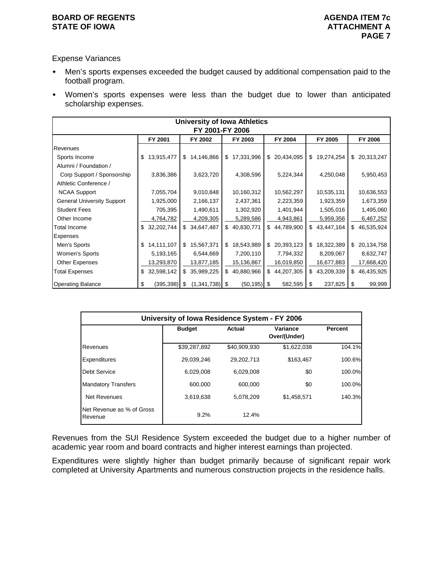#### **BOARD OF REGENTS AGENUS AGENDA ITEM 7c STATE OF IOWA ATTACHMENT A**

Expense Variances

- Men's sports expenses exceeded the budget caused by additional compensation paid to the football program.
- Women's sports expenses were less than the budget due to lower than anticipated scholarship expenses.

|                                   | <b>University of Iowa Athletics</b><br>FY 2001-FY 2006 |                        |                  |                  |                  |                  |  |  |  |  |  |
|-----------------------------------|--------------------------------------------------------|------------------------|------------------|------------------|------------------|------------------|--|--|--|--|--|
|                                   | FY 2001                                                | FY 2002                | FY 2003          | FY 2004          | FY 2005          | FY 2006          |  |  |  |  |  |
| Revenues                          |                                                        |                        |                  |                  |                  |                  |  |  |  |  |  |
| Sports Income                     | 13,915,477<br>\$                                       | 14,146,866<br>\$       | 17,331,996<br>\$ | \$ 20,434,095    | 19,274,254<br>\$ | 20,313,247<br>\$ |  |  |  |  |  |
| Alumni / Foundation /             |                                                        |                        |                  |                  |                  |                  |  |  |  |  |  |
| Corp Support / Sponsorship        | 3,836,386                                              | 3,623,720              | 4,308,596        | 5,224,344        | 4,250,048        | 5,950,453        |  |  |  |  |  |
| Athletic Conference /             |                                                        |                        |                  |                  |                  |                  |  |  |  |  |  |
| <b>NCAA Support</b>               | 7,055,704                                              | 9,010,848              | 10,160,312       | 10,562,297       | 10,535,131       | 10,636,553       |  |  |  |  |  |
| <b>General University Support</b> | 1,925,000                                              | 2,166,137              | 2,437,361        | 2,223,359        | 1,923,359        | 1,673,359        |  |  |  |  |  |
| <b>Student Fees</b>               | 705,395                                                | 1,490,611              | 1,302,920        | 1,401,944        | 1,505,016        | 1,495,060        |  |  |  |  |  |
| Other Income                      | 4,764,782                                              | 4,209,305              | 5,289,586        | 4,943,861        | 5,959,356        | 6,467,252        |  |  |  |  |  |
| <b>Total Income</b>               | 32,202,744<br>S.                                       | \$<br>34,647,487       | \$<br>40,830,771 | 44,789,900<br>\$ | \$<br>43,447,164 | \$<br>46,535,924 |  |  |  |  |  |
| <b>Expenses</b>                   |                                                        |                        |                  |                  |                  |                  |  |  |  |  |  |
| Men's Sports                      | 14,111,107<br>\$                                       | 15,567,371<br>\$       | 18,543,989<br>\$ | 20,393,123<br>\$ | 18,322,389<br>\$ | 20,134,758<br>\$ |  |  |  |  |  |
| Women's Sports                    | 5,193,165                                              | 6,544,669              | 7,200,110        | 7,794,332        | 8,209,067        | 8,632,747        |  |  |  |  |  |
| <b>Other Expenses</b>             | 13,293,870                                             | 13,877,185             | 15,136,867       | 16,019,850       | 16,677,883       | 17,668,420       |  |  |  |  |  |
| <b>Total Expenses</b>             | 32,598,142<br>\$                                       | \$<br>35,989,225       | \$<br>40,880,966 | \$44,207,305     | \$<br>43,209,339 | \$46,435,925     |  |  |  |  |  |
| <b>Operating Balance</b>          | (395,398)<br>\$                                        | $(1,341,738)$ \$<br>\$ | $(50, 195)$ \$   | 582,595          | 237,825<br>\$    | 99,999<br>\$     |  |  |  |  |  |

|                                      | University of Iowa Residence System - FY 2006 |              |                          |        |  |  |  |  |  |
|--------------------------------------|-----------------------------------------------|--------------|--------------------------|--------|--|--|--|--|--|
|                                      | <b>Budget</b>                                 | Actual       | Variance<br>Over/(Under) |        |  |  |  |  |  |
| Revenues                             | \$39,287,892                                  | \$40,909,930 | \$1,622,038              | 104.1% |  |  |  |  |  |
| Expenditures                         | 29.039.246                                    | 29.202.713   | \$163,467                | 100.6% |  |  |  |  |  |
| Debt Service                         | 6,029,008                                     | 6,029,008    | \$0                      | 100.0% |  |  |  |  |  |
| <b>Mandatory Transfers</b>           | 600,000                                       | 600,000      | \$0                      | 100.0% |  |  |  |  |  |
| Net Revenues                         | 3,619,638                                     | 5,078,209    | \$1,458,571              | 140.3% |  |  |  |  |  |
| Net Revenue as % of Gross<br>Revenue | 9.2%                                          | 12.4%        |                          |        |  |  |  |  |  |

Revenues from the SUI Residence System exceeded the budget due to a higher number of academic year room and board contracts and higher interest earnings than projected.

Expenditures were slightly higher than budget primarily because of significant repair work completed at University Apartments and numerous construction projects in the residence halls.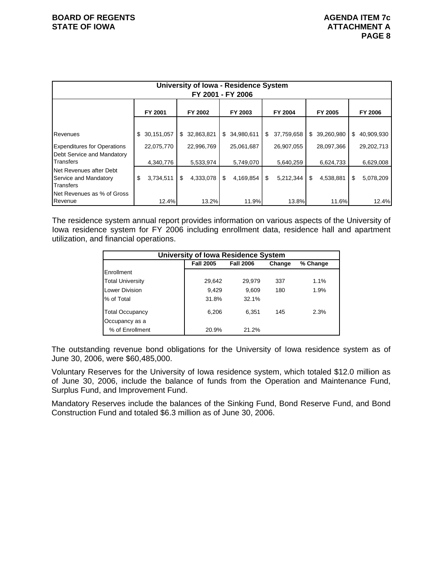| <b>University of Iowa - Residence System</b><br>FY 2001 - FY 2006             |    |                         |    |                         |    |                         |    |                         |    |                         |                         |
|-------------------------------------------------------------------------------|----|-------------------------|----|-------------------------|----|-------------------------|----|-------------------------|----|-------------------------|-------------------------|
|                                                                               |    | FY 2001                 |    | FY 2002                 |    | FY 2003                 |    | FY 2004                 |    | FY 2005                 | FY 2006                 |
| Revenues                                                                      | S. | 30,151,057              | \$ | 32,863,821              |    | \$ 34,980,611           | \$ | 37,759,658              | \$ | 39,260,980              | \$<br>40,909,930        |
| <b>Expenditures for Operations</b><br>Debt Service and Mandatory<br>Transfers |    | 22,075,770<br>4,340,776 |    | 22,996,769<br>5,533,974 |    | 25,061,687<br>5,749,070 |    | 26,907,055<br>5,640,259 |    | 28,097,366<br>6,624,733 | 29,202,713<br>6,629,008 |
| Net Revenues after Debt<br>Service and Mandatory<br>Transfers                 | \$ | 3,734,511               | \$ | 4,333,078               | \$ | 4,169,854               | \$ | 5,212,344               | \$ | 4,538,881               | \$<br>5,078,209         |
| Net Revenues as % of Gross<br>Revenue                                         |    | 12.4%                   |    | 13.2%                   |    | 11.9%                   |    | 13.8%                   |    | 11.6%                   | 12.4%                   |

The residence system annual report provides information on various aspects of the University of Iowa residence system for FY 2006 including enrollment data, residence hall and apartment utilization, and financial operations.

|                         | <b>University of Iowa Residence System</b> |          |     |      |
|-------------------------|--------------------------------------------|----------|-----|------|
|                         | <b>Fall 2005</b>                           | % Change |     |      |
| Enrollment              |                                            |          |     |      |
| <b>Total University</b> | 29,642                                     | 29,979   | 337 | 1.1% |
| Lower Division          | 9,429                                      | 9.609    | 180 | 1.9% |
| % of Total              | 31.8%                                      | 32.1%    |     |      |
| <b>Total Occupancy</b>  | 6,206                                      | 6,351    | 145 | 2.3% |
| Occupancy as a          |                                            |          |     |      |
| % of Enrollment         | 20.9%                                      | 21.2%    |     |      |

The outstanding revenue bond obligations for the University of Iowa residence system as of June 30, 2006, were \$60,485,000.

Voluntary Reserves for the University of Iowa residence system, which totaled \$12.0 million as of June 30, 2006, include the balance of funds from the Operation and Maintenance Fund, Surplus Fund, and Improvement Fund.

Mandatory Reserves include the balances of the Sinking Fund, Bond Reserve Fund, and Bond Construction Fund and totaled \$6.3 million as of June 30, 2006.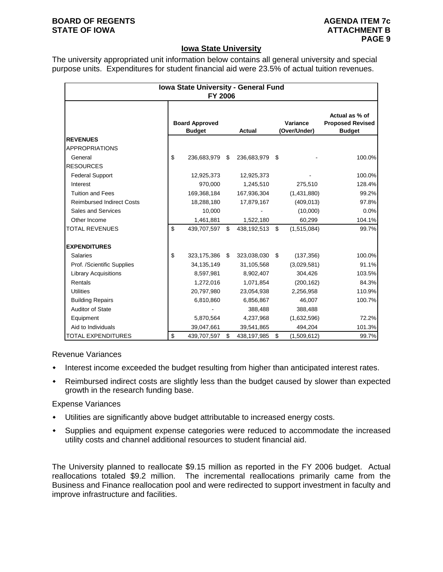### **BOARD OF REGENTS AGENUS AGENDA ITEM 7c STATE OF IOWA ATTACHMENT B**

### **Iowa State University**

The university appropriated unit information below contains all general university and special purpose units. Expenditures for student financial aid were 23.5% of actual tuition revenues.

|                                  | Iowa State University - General Fund<br><b>FY 2006</b> |               |                          |                                                            |        |
|----------------------------------|--------------------------------------------------------|---------------|--------------------------|------------------------------------------------------------|--------|
|                                  | <b>Board Approved</b><br><b>Budget</b>                 | <b>Actual</b> | Variance<br>(Over/Under) | Actual as % of<br><b>Proposed Revised</b><br><b>Budget</b> |        |
| <b>REVENUES</b>                  |                                                        |               |                          |                                                            |        |
| <b>APPROPRIATIONS</b>            |                                                        |               |                          |                                                            |        |
| General                          | \$<br>236,683,979                                      | \$            | 236,683,979 \$           |                                                            | 100.0% |
| <b>RESOURCES</b>                 |                                                        |               |                          |                                                            |        |
| <b>Federal Support</b>           | 12,925,373                                             |               | 12,925,373               |                                                            | 100.0% |
| Interest                         | 970,000                                                |               | 1,245,510                | 275,510                                                    | 128.4% |
| <b>Tuition and Fees</b>          | 169,368,184                                            |               | 167,936,304              | (1,431,880)                                                | 99.2%  |
| <b>Reimbursed Indirect Costs</b> | 18,288,180                                             |               | 17,879,167               | (409, 013)                                                 | 97.8%  |
| Sales and Services               | 10,000                                                 |               |                          | (10,000)                                                   | 0.0%   |
| Other Income                     | 1,461,881                                              |               | 1,522,180                | 60,299                                                     | 104.1% |
| <b>TOTAL REVENUES</b>            | \$<br>439,707,597                                      | \$            | 438,192,513              | \$<br>(1,515,084)                                          | 99.7%  |
| <b>EXPENDITURES</b>              |                                                        |               |                          |                                                            |        |
| Salaries                         | \$<br>323,175,386                                      | \$.           | 323,038,030              | \$<br>(137, 356)                                           | 100.0% |
| Prof. /Scientific Supplies       | 34,135,149                                             |               | 31,105,568               | (3,029,581)                                                | 91.1%  |
| <b>Library Acquisitions</b>      | 8,597,981                                              |               | 8,902,407                | 304,426                                                    | 103.5% |
| Rentals                          | 1,272,016                                              |               | 1,071,854                | (200, 162)                                                 | 84.3%  |
| <b>Utilities</b>                 | 20,797,980                                             |               | 23,054,938               | 2,256,958                                                  | 110.9% |
| <b>Building Repairs</b>          | 6,810,860                                              |               | 6,856,867                | 46,007                                                     | 100.7% |
| <b>Auditor of State</b>          |                                                        |               | 388,488                  | 388,488                                                    |        |
| Equipment                        | 5,870,564                                              |               | 4,237,968                | (1,632,596)                                                | 72.2%  |
| Aid to Individuals               | 39,047,661                                             |               | 39,541,865               | 494,204                                                    | 101.3% |
| <b>TOTAL EXPENDITURES</b>        | \$<br>439,707,597                                      | \$            | 438,197,985              | \$<br>(1,509,612)                                          | 99.7%  |

Revenue Variances

- $\bullet$  Interest income exceeded the budget resulting from higher than anticipated interest rates.
- Reimbursed indirect costs are slightly less than the budget caused by slower than expected growth in the research funding base.

#### Expense Variances

- Utilities are significantly above budget attributable to increased energy costs.
- Supplies and equipment expense categories were reduced to accommodate the increased utility costs and channel additional resources to student financial aid.

The University planned to reallocate \$9.15 million as reported in the FY 2006 budget. Actual reallocations totaled \$9.2 million. The incremental reallocations primarily came from the Business and Finance reallocation pool and were redirected to support investment in faculty and improve infrastructure and facilities.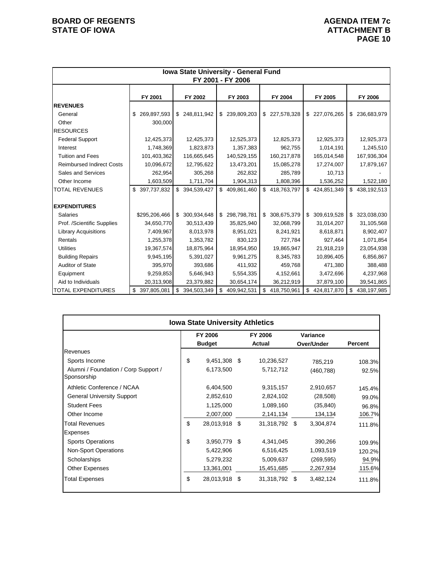|                                  | Iowa State University - General Fund<br>FY 2001 - FY 2006 |                   |                   |                   |                   |                   |  |  |  |  |  |  |
|----------------------------------|-----------------------------------------------------------|-------------------|-------------------|-------------------|-------------------|-------------------|--|--|--|--|--|--|
|                                  |                                                           |                   |                   |                   |                   |                   |  |  |  |  |  |  |
|                                  | FY 2001                                                   | FY 2002           | FY 2003           | FY 2004           | FY 2005           | FY 2006           |  |  |  |  |  |  |
| <b>REVENUES</b>                  |                                                           |                   |                   |                   |                   |                   |  |  |  |  |  |  |
| General                          | 269,897,593<br>\$                                         | \$248,811,942     | 239,809,203<br>\$ | \$227,578,328     | \$227,076,265     | 236,683,979<br>\$ |  |  |  |  |  |  |
| Other                            | 300,000                                                   |                   |                   |                   |                   |                   |  |  |  |  |  |  |
| <b>RESOURCES</b>                 |                                                           |                   |                   |                   |                   |                   |  |  |  |  |  |  |
| <b>Federal Support</b>           | 12,425,373                                                | 12,425,373        | 12,525,373        | 12,825,373        | 12,925,373        | 12,925,373        |  |  |  |  |  |  |
| Interest                         | 1,748,369                                                 | 1,823,873         | 1,357,383         | 962,755           | 1,014,191         | 1,245,510         |  |  |  |  |  |  |
| <b>Tuition and Fees</b>          | 101,403,362                                               | 116,665,645       | 140,529,155       | 160,217,878       | 165,014,548       | 167,936,304       |  |  |  |  |  |  |
| <b>Reimbursed Indirect Costs</b> | 10,096,672                                                | 12,795,622        | 13,473,201        | 15,085,278        | 17,274,007        | 17,879,167        |  |  |  |  |  |  |
| Sales and Services               | 262,954                                                   | 305,268           | 262,832           | 285,789           | 10,713            |                   |  |  |  |  |  |  |
| Other Income                     | 1,603,509                                                 | 1,711,704         | 1,904,313         | 1,808,396         | 1,536,252         | 1,522,180         |  |  |  |  |  |  |
| <b>TOTAL REVENUES</b>            | \$<br>397,737,832                                         | \$<br>394,539,427 | \$<br>409,861,460 | \$418,763,797     | \$<br>424,851,349 | \$<br>438,192,513 |  |  |  |  |  |  |
|                                  |                                                           |                   |                   |                   |                   |                   |  |  |  |  |  |  |
| <b>EXPENDITURES</b>              |                                                           |                   |                   |                   |                   |                   |  |  |  |  |  |  |
| <b>Salaries</b>                  | \$295,206,466                                             | \$ 300,934,648    | 298,798,781<br>\$ | \$ 308,675,379    | \$<br>309,619,528 | 323,038,030<br>\$ |  |  |  |  |  |  |
| Prof. /Scientific Supplies       | 34,650,770                                                | 30,513,439        | 35,825,940        | 32,068,799        | 31,014,207        | 31,105,568        |  |  |  |  |  |  |
| <b>Library Acquisitions</b>      | 7,409,967                                                 | 8,013,978         | 8,951,021         | 8,241,921         | 8,618,871         | 8,902,407         |  |  |  |  |  |  |
| Rentals                          | 1,255,378                                                 | 1,353,782         | 830,123           | 727,784           | 927,464           | 1,071,854         |  |  |  |  |  |  |
| <b>Utilities</b>                 | 19,367,574                                                | 18,875,964        | 18,954,950        | 19,865,947        | 21,918,219        | 23,054,938        |  |  |  |  |  |  |
| <b>Building Repairs</b>          | 9,945,195                                                 | 5,391,027         | 9,961,275         | 8,345,783         | 10,896,405        | 6,856,867         |  |  |  |  |  |  |
| <b>Auditor of State</b>          | 395,970                                                   | 393,686           | 411,932           | 459,768           | 471,380           | 388,488           |  |  |  |  |  |  |
| Equipment                        | 9,259,853                                                 | 5,646,943         | 5,554,335         | 4,152,661         | 3,472,696         | 4,237,968         |  |  |  |  |  |  |
| Aid to Individuals               | 20,313,908                                                | 23,379,882        | 30,654,174        | 36,212,919        | 37,879,100        | 39,541,865        |  |  |  |  |  |  |
| <b>TOTAL EXPENDITURES</b>        | 397,805,081<br>\$                                         | 394,503,349<br>\$ | \$<br>409,942,531 | \$<br>418,750,961 | \$<br>424,817,870 | \$<br>438,197,985 |  |  |  |  |  |  |

|                                                     | <b>Iowa State University Athletics</b> |      |                   |                        |                |
|-----------------------------------------------------|----------------------------------------|------|-------------------|------------------------|----------------|
|                                                     | FY 2006<br><b>Budget</b>               |      | FY 2006<br>Actual | Variance<br>Over/Under | <b>Percent</b> |
| Revenues                                            |                                        |      |                   |                        |                |
| Sports Income                                       | \$<br>9,451,308 \$                     |      | 10,236,527        | 785,219                | 108.3%         |
| Alumni / Foundation / Corp Support /<br>Sponsorship | 6,173,500                              |      | 5,712,712         | (460, 788)             | 92.5%          |
| Athletic Conference / NCAA                          | 6,404,500                              |      | 9,315,157         | 2,910,657              | 145.4%         |
| <b>General University Support</b>                   | 2,852,610                              |      | 2,824,102         | (28, 508)              | 99.0%          |
| <b>Student Fees</b>                                 | 1,125,000                              |      | 1,089,160         | (35, 840)              | 96.8%          |
| Other Income                                        | 2,007,000                              |      | 2,141,134         | 134,134                | 106.7%         |
| <b>Total Revenues</b>                               | \$<br>28,013,918 \$                    |      | 31,318,792 \$     | 3,304,874              | 111.8%         |
| Expenses                                            |                                        |      |                   |                        |                |
| <b>Sports Operations</b>                            | \$<br>3,950,779                        | - \$ | 4,341,045         | 390,266                | 109.9%         |
| <b>Non-Sport Operations</b>                         | 5,422,906                              |      | 6,516,425         | 1,093,519              | 120.2%         |
| Scholarships                                        | 5,279,232                              |      | 5,009,637         | (269, 595)             | 94.9%          |
| <b>Other Expenses</b>                               | 13,361,001                             |      | 15,451,685        | 2,267,934              | 115.6%         |
| <b>Total Expenses</b>                               | \$<br>28,013,918 \$                    |      | 31,318,792 \$     | 3,482,124              | 111.8%         |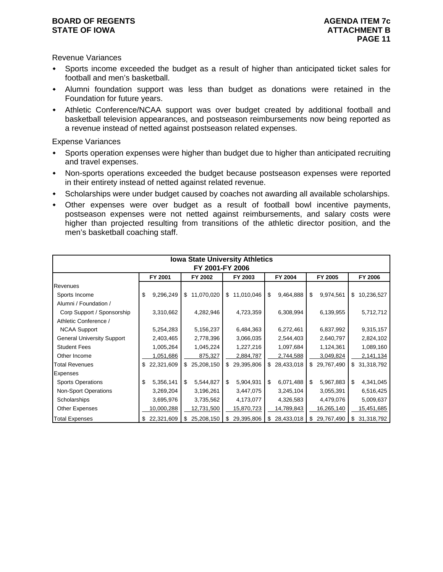#### **BOARD OF REGENTS AGENUS AGENDA ITEM 7c STATE OF IOWA ATTACHMENT B**

Revenue Variances

- Sports income exceeded the budget as a result of higher than anticipated ticket sales for football and men's basketball.
- Alumni foundation support was less than budget as donations were retained in the Foundation for future years.
- Athletic Conference/NCAA support was over budget created by additional football and basketball television appearances, and postseason reimbursements now being reported as a revenue instead of netted against postseason related expenses.

Expense Variances

- Sports operation expenses were higher than budget due to higher than anticipated recruiting and travel expenses.
- Non-sports operations exceeded the budget because postseason expenses were reported in their entirety instead of netted against related revenue.
- Scholarships were under budget caused by coaches not awarding all available scholarships.
- Other expenses were over budget as a result of football bowl incentive payments, postseason expenses were not netted against reimbursements, and salary costs were higher than projected resulting from transitions of the athletic director position, and the men's basketball coaching staff.

| <b>Iowa State University Athletics</b><br>FY 2001-FY 2006 |    |            |    |            |    |            |    |              |    |            |    |               |
|-----------------------------------------------------------|----|------------|----|------------|----|------------|----|--------------|----|------------|----|---------------|
|                                                           |    | FY 2001    |    | FY 2002    |    | FY 2003    |    | FY 2004      |    | FY 2005    |    | FY 2006       |
| Revenues                                                  |    |            |    |            |    |            |    |              |    |            |    |               |
| Sports Income                                             | \$ | 9,296,249  | \$ | 11,070,020 | \$ | 11,010,046 | \$ | 9,464,888    | \$ | 9,974,561  | \$ | 10,236,527    |
| Alumni / Foundation /                                     |    |            |    |            |    |            |    |              |    |            |    |               |
| Corp Support / Sponsorship                                |    | 3,310,662  |    | 4,282,946  |    | 4,723,359  |    | 6,308,994    |    | 6,139,955  |    | 5,712,712     |
| Athletic Conference /                                     |    |            |    |            |    |            |    |              |    |            |    |               |
| <b>NCAA Support</b>                                       |    | 5,254,283  |    | 5,156,237  |    | 6,484,363  |    | 6,272,461    |    | 6,837,992  |    | 9,315,157     |
| <b>General University Support</b>                         |    | 2,403,465  |    | 2,778,396  |    | 3,066,035  |    | 2,544,403    |    | 2,640,797  |    | 2,824,102     |
| <b>Student Fees</b>                                       |    | 1,005,264  |    | 1,045,224  |    | 1,227,216  |    | 1,097,684    |    | 1,124,361  |    | 1,089,160     |
| Other Income                                              |    | 1,051,686  |    | 875,327    |    | 2,884,787  |    | 2,744,588    |    | 3,049,824  |    | 2,141,134     |
| <b>Total Revenues</b>                                     | \$ | 22,321,609 | \$ | 25,208,150 | \$ | 29,395,806 |    | \$28,433,018 | \$ | 29,767,490 |    | \$ 31,318,792 |
| Expenses                                                  |    |            |    |            |    |            |    |              |    |            |    |               |
| <b>Sports Operations</b>                                  | \$ | 5,356,141  | \$ | 5,544,827  | \$ | 5,904,931  | \$ | 6,071,488    | \$ | 5,967,883  | \$ | 4,341,045     |
| <b>Non-Sport Operations</b>                               |    | 3,269,204  |    | 3,196,261  |    | 3,447,075  |    | 3,245,104    |    | 3,055,391  |    | 6,516,425     |
| Scholarships                                              |    | 3,695,976  |    | 3,735,562  |    | 4,173,077  |    | 4,326,583    |    | 4,479,076  |    | 5,009,637     |
| <b>Other Expenses</b>                                     |    | 10,000,288 |    | 12,731,500 |    | 15,870,723 |    | 14,789,843   |    | 16,265,140 |    | 15,451,685    |
| <b>Total Expenses</b>                                     | \$ | 22,321,609 | \$ | 25,208,150 |    | 29,395,806 | S. | 28,433,018   | \$ | 29,767,490 | \$ | 31,318,792    |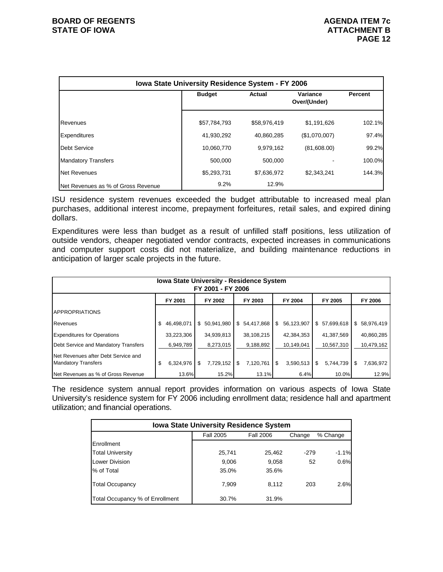|                                    | Iowa State University Residence System - FY 2006 |              |                          |                |  |  |  |  |  |  |  |
|------------------------------------|--------------------------------------------------|--------------|--------------------------|----------------|--|--|--|--|--|--|--|
|                                    | <b>Budget</b>                                    | Actual       | Variance<br>Over/(Under) | <b>Percent</b> |  |  |  |  |  |  |  |
| Revenues                           | \$57,784,793                                     | \$58,976,419 | \$1,191,626              | 102.1%         |  |  |  |  |  |  |  |
| <b>Expenditures</b>                | 41,930,292                                       | 40,860,285   | (\$1,070,007)            | 97.4%          |  |  |  |  |  |  |  |
| Debt Service                       | 10,060,770                                       | 9,979,162    | (81,608.00)              | 99.2%          |  |  |  |  |  |  |  |
| <b>Mandatory Transfers</b>         | 500.000                                          | 500.000      |                          | 100.0%         |  |  |  |  |  |  |  |
| Net Revenues                       | \$5,293,731                                      | \$7,636,972  | \$2,343,241              | 144.3%         |  |  |  |  |  |  |  |
| Net Revenues as % of Gross Revenue | 9.2%                                             | 12.9%        |                          |                |  |  |  |  |  |  |  |

ISU residence system revenues exceeded the budget attributable to increased meal plan purchases, additional interest income, prepayment forfeitures, retail sales, and expired dining dollars.

Expenditures were less than budget as a result of unfilled staff positions, less utilization of outside vendors, cheaper negotiated vendor contracts, expected increases in communications and computer support costs did not materialize, and building maintenance reductions in anticipation of larger scale projects in the future.

| <b>Iowa State University - Residence System</b><br>FY 2001 - FY 2006 |                  |                 |                 |                 |                 |                 |  |  |  |  |  |
|----------------------------------------------------------------------|------------------|-----------------|-----------------|-----------------|-----------------|-----------------|--|--|--|--|--|
|                                                                      | FY 2001          | FY 2002         | FY 2003         | FY 2004         | FY 2005         | FY 2006         |  |  |  |  |  |
| <b>APPROPRIATIONS</b>                                                |                  |                 |                 |                 |                 |                 |  |  |  |  |  |
| Revenues                                                             | \$<br>46.498.071 | \$50,941,980    | \$54,417,868    | 56,123,907<br>S | \$57,699,618    | \$58,976,419    |  |  |  |  |  |
| <b>Expenditures for Operations</b>                                   | 33,223,306       | 34,939,813      | 38,108,215      | 42,384,353      | 41,387,569      | 40,860,285      |  |  |  |  |  |
| Debt Service and Mandatory Transfers                                 | 6,949,789        | 8.273.015       | 9,188,892       | 10,149,041      | 10,567,310      | 10,479,162      |  |  |  |  |  |
| Net Revenues after Debt Service and<br><b>Mandatory Transfers</b>    | \$<br>6.324.976  | 7,729,152<br>\$ | 7,120,761<br>\$ | 3,590,513<br>\$ | \$<br>5,744,739 | 7,636,972<br>\$ |  |  |  |  |  |
| Net Revenues as % of Gross Revenue                                   | 13.6%            | 15.2%           | 13.1%           | 6.4%            | 10.0%           | 12.9%           |  |  |  |  |  |

The residence system annual report provides information on various aspects of Iowa State University's residence system for FY 2006 including enrollment data; residence hall and apartment utilization; and financial operations.

| <b>Iowa State University Residence System</b> |                  |                  |        |          |  |  |  |  |  |  |  |
|-----------------------------------------------|------------------|------------------|--------|----------|--|--|--|--|--|--|--|
|                                               | <b>Fall 2005</b> | <b>Fall 2006</b> | Change | % Change |  |  |  |  |  |  |  |
| Enrollment                                    |                  |                  |        |          |  |  |  |  |  |  |  |
| <b>Total University</b>                       | 25,741           | 25,462           | $-279$ | $-1.1%$  |  |  |  |  |  |  |  |
| <b>Lower Division</b>                         | 9,006            | 9,058            | 52     | 0.6%     |  |  |  |  |  |  |  |
| % of Total                                    | 35.0%            | 35.6%            |        |          |  |  |  |  |  |  |  |
| <b>Total Occupancy</b>                        | 7,909            | 8.112            | 203    | 2.6%     |  |  |  |  |  |  |  |
| Total Occupancy % of Enrollment               | 30.7%            | 31.9%            |        |          |  |  |  |  |  |  |  |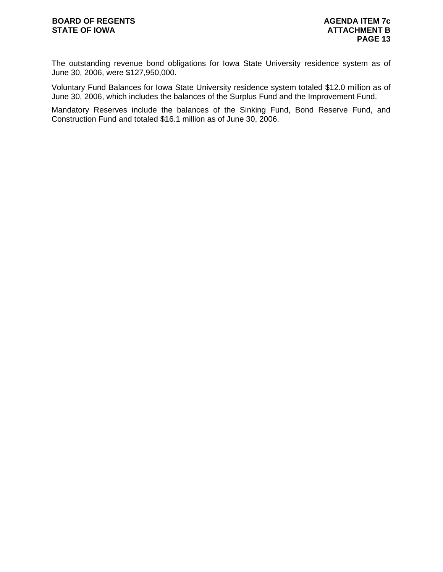The outstanding revenue bond obligations for Iowa State University residence system as of June 30, 2006, were \$127,950,000.

Voluntary Fund Balances for Iowa State University residence system totaled \$12.0 million as of June 30, 2006, which includes the balances of the Surplus Fund and the Improvement Fund.

Mandatory Reserves include the balances of the Sinking Fund, Bond Reserve Fund, and Construction Fund and totaled \$16.1 million as of June 30, 2006.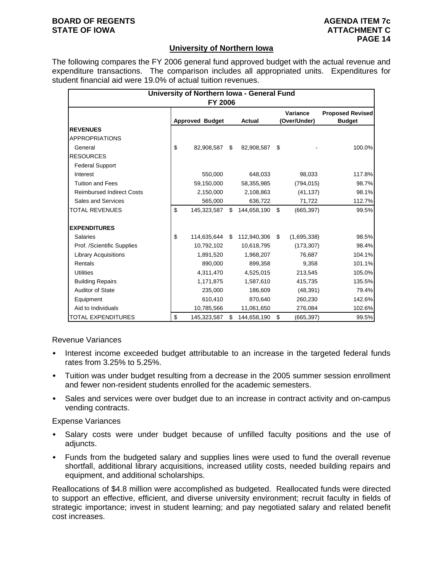### **BOARD OF REGENTS AGENUS AGENDA ITEM 7c STATE OF IOWA ATTACHMENT C**

### **University of Northern Iowa**

The following compares the FY 2006 general fund approved budget with the actual revenue and expenditure transactions. The comparison includes all appropriated units. Expenditures for student financial aid were 19.0% of actual tuition revenues.

|                                  | University of Northern Iowa - General Fund<br><b>FY 2006</b> |                        |    |               |    |                          |                                          |  |  |  |  |  |  |
|----------------------------------|--------------------------------------------------------------|------------------------|----|---------------|----|--------------------------|------------------------------------------|--|--|--|--|--|--|
|                                  |                                                              | <b>Approved Budget</b> |    | <b>Actual</b> |    | Variance<br>(Over/Under) | <b>Proposed Revised</b><br><b>Budget</b> |  |  |  |  |  |  |
| <b>REVENUES</b>                  |                                                              |                        |    |               |    |                          |                                          |  |  |  |  |  |  |
| <b>APPROPRIATIONS</b>            |                                                              |                        |    |               |    |                          |                                          |  |  |  |  |  |  |
| General                          | \$                                                           | 82,908,587             | \$ | 82,908,587    | \$ |                          | 100.0%                                   |  |  |  |  |  |  |
| <b>RESOURCES</b>                 |                                                              |                        |    |               |    |                          |                                          |  |  |  |  |  |  |
| <b>Federal Support</b>           |                                                              |                        |    |               |    |                          |                                          |  |  |  |  |  |  |
| Interest                         |                                                              | 550,000                |    | 648,033       |    | 98,033                   | 117.8%                                   |  |  |  |  |  |  |
| <b>Tuition and Fees</b>          |                                                              | 59,150,000             |    | 58,355,985    |    | (794, 015)               | 98.7%                                    |  |  |  |  |  |  |
| <b>Reimbursed Indirect Costs</b> |                                                              | 2,150,000              |    | 2,108,863     |    | (41, 137)                | 98.1%                                    |  |  |  |  |  |  |
| Sales and Services               |                                                              | 565,000                |    | 636,722       |    | 71,722                   | 112.7%                                   |  |  |  |  |  |  |
| <b>TOTAL REVENUES</b>            | \$                                                           | 145,323,587            | \$ | 144,658,190   | \$ | (665, 397)               | 99.5%                                    |  |  |  |  |  |  |
| <b>EXPENDITURES</b>              |                                                              |                        |    |               |    |                          |                                          |  |  |  |  |  |  |
| Salaries                         | \$                                                           | 114,635,644 \$         |    | 112,940,306   | \$ | (1,695,338)              | 98.5%                                    |  |  |  |  |  |  |
| Prof. /Scientific Supplies       |                                                              | 10,792,102             |    | 10,618,795    |    | (173, 307)               | 98.4%                                    |  |  |  |  |  |  |
| <b>Library Acquisitions</b>      |                                                              | 1,891,520              |    | 1,968,207     |    | 76,687                   | 104.1%                                   |  |  |  |  |  |  |
| Rentals                          |                                                              | 890.000                |    | 899,358       |    | 9,358                    | 101.1%                                   |  |  |  |  |  |  |
| <b>Utilities</b>                 |                                                              | 4,311,470              |    | 4,525,015     |    | 213,545                  | 105.0%                                   |  |  |  |  |  |  |
| <b>Building Repairs</b>          |                                                              | 1,171,875              |    | 1,587,610     |    | 415,735                  | 135.5%                                   |  |  |  |  |  |  |
| <b>Auditor of State</b>          |                                                              | 235,000                |    | 186,609       |    | (48, 391)                | 79.4%                                    |  |  |  |  |  |  |
| Equipment                        |                                                              | 610,410                |    | 870,640       |    | 260,230                  | 142.6%                                   |  |  |  |  |  |  |
| Aid to Individuals               |                                                              | 10,785,566             |    | 11,061,650    |    | 276,084                  | 102.6%                                   |  |  |  |  |  |  |
| TOTAL EXPENDITURES               | \$                                                           | 145,323,587            | \$ | 144,658,190   | \$ | (665, 397)               | 99.5%                                    |  |  |  |  |  |  |

Revenue Variances

- Interest income exceeded budget attributable to an increase in the targeted federal funds rates from 3.25% to 5.25%.
- Tuition was under budget resulting from a decrease in the 2005 summer session enrollment and fewer non-resident students enrolled for the academic semesters.
- Sales and services were over budget due to an increase in contract activity and on-campus vending contracts.

Expense Variances

- Salary costs were under budget because of unfilled faculty positions and the use of adjuncts.
- Funds from the budgeted salary and supplies lines were used to fund the overall revenue shortfall, additional library acquisitions, increased utility costs, needed building repairs and equipment, and additional scholarships.

Reallocations of \$4.8 million were accomplished as budgeted. Reallocated funds were directed to support an effective, efficient, and diverse university environment; recruit faculty in fields of strategic importance; invest in student learning; and pay negotiated salary and related benefit cost increases.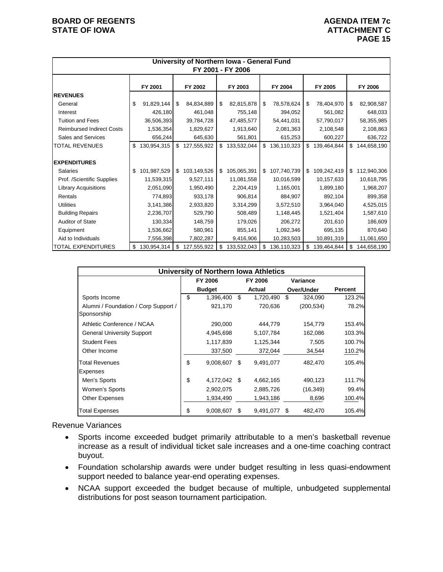### **BOARD OF REGENTS AGENUS AGENDA ITEM 7c STATE OF IOWA ATTACHMENT C**

|                                  |                   |                    | University of Northern Iowa - General Fund | FY 2001 - FY 2006 |    |             |    |             |                   |
|----------------------------------|-------------------|--------------------|--------------------------------------------|-------------------|----|-------------|----|-------------|-------------------|
|                                  | FY 2001           | FY 2002<br>FY 2003 |                                            | FY 2004           |    | FY 2005     |    | FY 2006     |                   |
| <b>REVENUES</b>                  |                   |                    |                                            |                   |    |             |    |             |                   |
| General                          | \$<br>91,829,144  | \$                 | 84,834,889                                 | \$<br>82,815,878  | \$ | 78,578,624  | \$ | 78,404,970  | \$<br>82,908,587  |
| Interest                         | 426,180           |                    | 461,048                                    | 755,148           |    | 394,052     |    | 561,082     | 648,033           |
| <b>Tuition and Fees</b>          | 36,506,393        |                    | 39,784,728                                 | 47,485,577        |    | 54,441,031  |    | 57,790,017  | 58,355,985        |
| <b>Reimbursed Indirect Costs</b> | 1,536,354         |                    | 1,829,627                                  | 1,913,640         |    | 2,081,363   |    | 2,108,548   | 2,108,863         |
| Sales and Services               | 656,244           |                    | 645,630                                    | 561,801           |    | 615,253     |    | 600,227     | 636,722           |
| <b>TOTAL REVENUES</b>            | \$<br>130,954,315 | \$                 | 127,555,922                                | \$<br>133,532,044 | \$ | 136,110,323 | \$ | 139,464,844 | \$<br>144,658,190 |
| <b>EXPENDITURES</b>              |                   |                    |                                            |                   |    |             |    |             |                   |
| <b>Salaries</b>                  | \$<br>101,987,529 | $\mathbb{S}$       | 103,149,526                                | \$<br>105,065,391 | \$ | 107,740,739 | \$ | 109,242,419 | \$<br>112,940,306 |
| Prof. /Scientific Supplies       | 11,539,315        |                    | 9,527,111                                  | 11,081,558        |    | 10,016,599  |    | 10,157,633  | 10,618,795        |
| <b>Library Acquisitions</b>      | 2,051,090         |                    | 1,950,490                                  | 2,204,419         |    | 1,165,001   |    | 1,899,180   | 1,968,207         |
| Rentals                          | 774,893           |                    | 933,178                                    | 906,814           |    | 884,907     |    | 892,104     | 899,358           |
| <b>Utilities</b>                 | 3,141,386         |                    | 2,933,820                                  | 3,314,299         |    | 3,572,510   |    | 3,964,040   | 4,525,015         |
| <b>Building Repairs</b>          | 2,236,707         |                    | 529,790                                    | 508,489           |    | 1,148,445   |    | 1,521,404   | 1,587,610         |
| <b>Auditor of State</b>          | 130,334           |                    | 148,759                                    | 179,026           |    | 206,272     |    | 201,610     | 186,609           |
| Equipment                        | 1,536,662         |                    | 580,961                                    | 855,141           |    | 1,092,346   |    | 695,135     | 870,640           |
| Aid to Individuals               | 7,556,398         |                    | 7,802,287                                  | 9,416,906         |    | 10,283,503  |    | 10,891,319  | 11,061,650        |
| <b>TOTAL EXPENDITURES</b>        | \$<br>130,954,314 | \$                 | 127,555,922                                | \$<br>133,532,043 | \$ | 136,110,323 | \$ | 139,464,844 | \$<br>144,658,190 |

|                                                     | <b>University of Northern Iowa Athletics</b> |                 |      |            |                |
|-----------------------------------------------------|----------------------------------------------|-----------------|------|------------|----------------|
|                                                     | FY 2006                                      | FY 2006         |      | Variance   |                |
|                                                     | <b>Budget</b>                                | Actual          |      | Over/Under | <b>Percent</b> |
| Sports Income                                       | \$<br>1,396,400                              | \$<br>1,720,490 | S    | 324,090    | 123.2%         |
| Alumni / Foundation / Corp Support /<br>Sponsorship | 921,170                                      | 720,636         |      | (200, 534) | 78.2%          |
| Athletic Conference / NCAA                          | 290,000                                      | 444,779         |      | 154,779    | 153.4%         |
| <b>General University Support</b>                   | 4,945,698                                    | 5,107,784       |      | 162,086    | 103.3%         |
| <b>Student Fees</b>                                 | 1,117,839                                    | 1,125,344       |      | 7,505      | 100.7%         |
| Other Income                                        | 337,500                                      | 372,044         |      | 34,544     | 110.2%         |
| <b>Total Revenues</b>                               | \$<br>9,008,607                              | \$<br>9,491,077 |      | 482,470    | 105.4%         |
| <b>Expenses</b>                                     |                                              |                 |      |            |                |
| Men's Sports                                        | \$<br>4,172,042 \$                           | 4,662,165       |      | 490,123    | 111.7%         |
| Women's Sports                                      | 2,902,075                                    | 2,885,726       |      | (16, 349)  | 99.4%          |
| Other Expenses                                      | 1,934,490                                    | 1,943,186       |      | 8,696      | 100.4%         |
| <b>Total Expenses</b>                               | \$<br>9,008,607                              | \$<br>9,491,077 | - \$ | 482,470    | 105.4%         |

Revenue Variances

- Sports income exceeded budget primarily attributable to a men's basketball revenue increase as a result of individual ticket sale increases and a one-time coaching contract buyout.
- Foundation scholarship awards were under budget resulting in less quasi-endowment support needed to balance year-end operating expenses.
- NCAA support exceeded the budget because of multiple, unbudgeted supplemental distributions for post season tournament participation.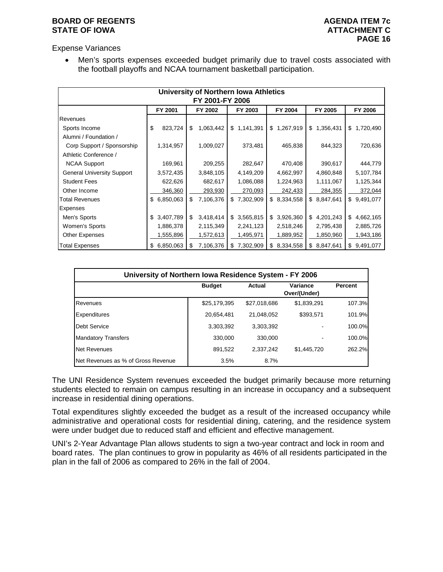### **BOARD OF REGENTS AGENUS AGENDA ITEM 7c STATE OF IOWA ATTACHMENT C**

Expense Variances

• Men's sports expenses exceeded budget primarily due to travel costs associated with the football playoffs and NCAA tournament basketball participation.

|                                   |                 | University of Northern Iowa Athletics |                |                  |                 |                 |  |  |  |  |  |
|-----------------------------------|-----------------|---------------------------------------|----------------|------------------|-----------------|-----------------|--|--|--|--|--|
| FY 2001-FY 2006                   |                 |                                       |                |                  |                 |                 |  |  |  |  |  |
|                                   | FY 2001         | FY 2002                               | FY 2003        | FY 2004          | FY 2005         | FY 2006         |  |  |  |  |  |
| Revenues                          |                 |                                       |                |                  |                 |                 |  |  |  |  |  |
| Sports Income                     | \$<br>823,724   | \$<br>1,063,442                       | \$1,141,391    | 1,267,919<br>\$  | \$1,356,431     | 1,720,490<br>\$ |  |  |  |  |  |
| Alumni / Foundation /             |                 |                                       |                |                  |                 |                 |  |  |  |  |  |
| Corp Support / Sponsorship        | 1,314,957       | 1,009,027                             | 373,481        | 465,838          | 844,323         | 720,636         |  |  |  |  |  |
| Athletic Conference /             |                 |                                       |                |                  |                 |                 |  |  |  |  |  |
| <b>NCAA Support</b>               | 169,961         | 209,255                               | 282,647        | 470,408          | 390,617         | 444,779         |  |  |  |  |  |
| <b>General University Support</b> | 3,572,435       | 3,848,105                             | 4,149,209      | 4,662,997        | 4,860,848       | 5,107,784       |  |  |  |  |  |
| <b>Student Fees</b>               | 622,626         | 682,617                               | 1,086,088      | 1,224,963        | 1,111,067       | 1,125,344       |  |  |  |  |  |
| Other Income                      | 346,360         | 293,930                               | 270,093        | 242,433          | 284,355         | 372,044         |  |  |  |  |  |
| <b>Total Revenues</b>             | 6,850,063<br>\$ | \$<br>7,106,376                       | \$7,302,909    | \$8,334,558      | \$8,847,641     | \$9,491,077     |  |  |  |  |  |
| Expenses                          |                 |                                       |                |                  |                 |                 |  |  |  |  |  |
| Men's Sports                      | 3,407,789<br>\$ | \$<br>3,418,414                       | \$3,565,815    | 3,926,360<br>\$  | \$4,201,243     | \$<br>4,662,165 |  |  |  |  |  |
| Women's Sports                    | 1,886,378       | 2,115,349                             | 2,241,123      | 2,518,246        | 2,795,438       | 2,885,726       |  |  |  |  |  |
| Other Expenses                    | 1,555,896       | 1,572,613                             | 1,495,971      | 1,889,952        | 1,850,960       | 1,943,186       |  |  |  |  |  |
| <b>Total Expenses</b>             | 6,850,063<br>\$ | 7,106,376<br>S                        | 7,302,909<br>S | 8,334,558<br>\$. | 8,847,641<br>S. | 9,491,077<br>\$ |  |  |  |  |  |

|                                    | University of Northern Iowa Residence System - FY 2006 |               |                          |                |  |  |  |  |  |  |  |  |
|------------------------------------|--------------------------------------------------------|---------------|--------------------------|----------------|--|--|--|--|--|--|--|--|
|                                    | <b>Budget</b>                                          | <b>Actual</b> | Variance<br>Over/(Under) | <b>Percent</b> |  |  |  |  |  |  |  |  |
| Revenues                           | \$25,179,395                                           | \$27,018,686  | \$1,839,291              | 107.3%         |  |  |  |  |  |  |  |  |
| <b>Expenditures</b>                | 20,654,481                                             | 21,048,052    | \$393,571                | 101.9%         |  |  |  |  |  |  |  |  |
| <b>Debt Service</b>                | 3,303,392                                              | 3.303.392     |                          | 100.0%         |  |  |  |  |  |  |  |  |
| <b>Mandatory Transfers</b>         | 330,000                                                | 330,000       |                          | 100.0%         |  |  |  |  |  |  |  |  |
| <b>Net Revenues</b>                | 891,522                                                | 2.337.242     | \$1,445,720              | 262.2%         |  |  |  |  |  |  |  |  |
| Net Revenues as % of Gross Revenue | 3.5%                                                   | 8.7%          |                          |                |  |  |  |  |  |  |  |  |

The UNI Residence System revenues exceeded the budget primarily because more returning students elected to remain on campus resulting in an increase in occupancy and a subsequent increase in residential dining operations.

Total expenditures slightly exceeded the budget as a result of the increased occupancy while administrative and operational costs for residential dining, catering, and the residence system were under budget due to reduced staff and efficient and effective management.

UNI's 2-Year Advantage Plan allows students to sign a two-year contract and lock in room and board rates. The plan continues to grow in popularity as 46% of all residents participated in the plan in the fall of 2006 as compared to 26% in the fall of 2004.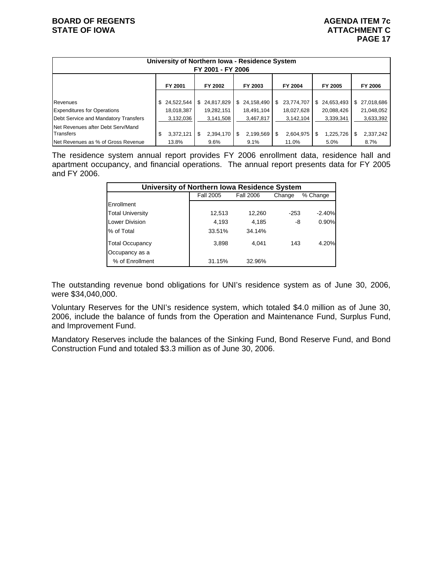| University of Northern Iowa - Residence System<br>FY 2001 - FY 2006 |                  |                  |                  |                 |                  |                  |  |  |  |  |
|---------------------------------------------------------------------|------------------|------------------|------------------|-----------------|------------------|------------------|--|--|--|--|
| FY 2001<br>FY 2003<br>FY 2004<br>FY 2005<br>FY 2006<br>FY 2002      |                  |                  |                  |                 |                  |                  |  |  |  |  |
|                                                                     |                  |                  |                  |                 |                  |                  |  |  |  |  |
| Revenues                                                            | 24,522,544<br>\$ | 24,817,829<br>\$ | 24,158,490<br>\$ | 23,774,707<br>S | 24,653,493<br>\$ | 27,018,686<br>\$ |  |  |  |  |
| <b>Expenditures for Operations</b>                                  | 18,018,387       | 19,282,151       | 18,491,104       | 18,027,628      | 20,088,426       | 21,048,052       |  |  |  |  |
| Debt Service and Mandatory Transfers                                | 3,132,036        | 3,141,508        | 3,467,817        | 3,142,104       | 3,339,341        | 3,633,392        |  |  |  |  |
| Net Revenues after Debt Serv/Mand                                   |                  |                  |                  |                 |                  |                  |  |  |  |  |
| Transfers                                                           | \$<br>3,372,121  | 2,394,170<br>\$  | 2,199,569<br>\$  | 2,604,975       | 1,225,726<br>\$  | 2,337,242<br>\$  |  |  |  |  |
| Net Revenues as % of Gross Revenue                                  | 13.8%            | 9.6%             | 9.1%             | 11.0%           | 5.0%             | 8.7%             |  |  |  |  |

The residence system annual report provides FY 2006 enrollment data, residence hall and apartment occupancy, and financial operations. The annual report presents data for FY 2005 and FY 2006.

| University of Northern Iowa Residence System |                  |                  |        |          |  |  |  |  |  |
|----------------------------------------------|------------------|------------------|--------|----------|--|--|--|--|--|
|                                              | <b>Fall 2005</b> | <b>Fall 2006</b> | Change | % Change |  |  |  |  |  |
| Enrollment                                   |                  |                  |        |          |  |  |  |  |  |
| <b>Total University</b>                      | 12,513           | 12,260           | $-253$ | $-2.40%$ |  |  |  |  |  |
| Lower Division                               | 4,193            | 4,185            | -8     | 0.90%    |  |  |  |  |  |
| % of Total                                   | 33.51%           | 34.14%           |        |          |  |  |  |  |  |
| <b>Total Occupancy</b>                       | 3,898            | 4.041            | 143    | 4.20%    |  |  |  |  |  |
| Occupancy as a                               |                  |                  |        |          |  |  |  |  |  |
| % of Enrollment                              | 31.15%           | 32.96%           |        |          |  |  |  |  |  |

The outstanding revenue bond obligations for UNI's residence system as of June 30, 2006, were \$34,040,000.

Voluntary Reserves for the UNI's residence system, which totaled \$4.0 million as of June 30, 2006, include the balance of funds from the Operation and Maintenance Fund, Surplus Fund, and Improvement Fund.

Mandatory Reserves include the balances of the Sinking Fund, Bond Reserve Fund, and Bond Construction Fund and totaled \$3.3 million as of June 30, 2006.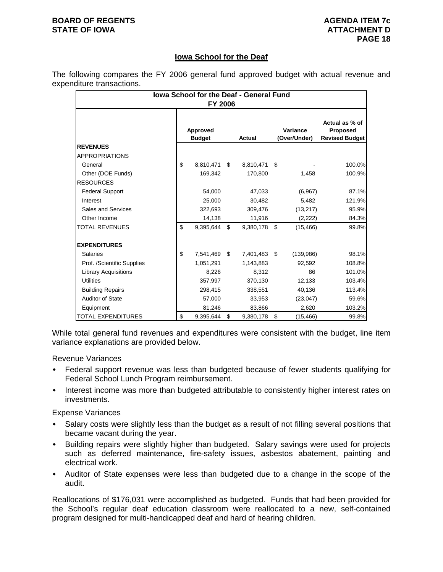### **BOARD OF REGENTS AGENUS AGENDA ITEM 7c STATE OF IOWA ATTACHMENT D**

# **Iowa School for the Deaf**

The following compares the FY 2006 general fund approved budget with actual revenue and expenditure transactions.

| <b>Iowa School for the Deaf - General Fund</b><br>FY 2006 |    |                           |    |           |    |                          |                                                            |  |
|-----------------------------------------------------------|----|---------------------------|----|-----------|----|--------------------------|------------------------------------------------------------|--|
|                                                           |    | Approved<br><b>Budget</b> |    | Actual    |    | Variance<br>(Over/Under) | Actual as % of<br><b>Proposed</b><br><b>Revised Budget</b> |  |
| <b>REVENUES</b>                                           |    |                           |    |           |    |                          |                                                            |  |
| <b>APPROPRIATIONS</b>                                     |    |                           |    |           |    |                          |                                                            |  |
| General                                                   | \$ | 8,810,471                 | \$ | 8,810,471 | \$ |                          | 100.0%                                                     |  |
| Other (DOE Funds)                                         |    | 169,342                   |    | 170,800   |    | 1,458                    | 100.9%                                                     |  |
| <b>RESOURCES</b>                                          |    |                           |    |           |    |                          |                                                            |  |
| <b>Federal Support</b>                                    |    | 54,000                    |    | 47,033    |    | (6,967)                  | 87.1%                                                      |  |
| Interest                                                  |    | 25.000                    |    | 30.482    |    | 5.482                    | 121.9%                                                     |  |
| Sales and Services                                        |    | 322,693                   |    | 309,476   |    | (13, 217)                | 95.9%                                                      |  |
| Other Income                                              |    | 14,138                    |    | 11,916    |    | (2,222)                  | 84.3%                                                      |  |
| TOTAL REVENUES                                            | \$ | 9,395,644                 | \$ | 9,380,178 | \$ | (15, 466)                | 99.8%                                                      |  |
| <b>EXPENDITURES</b>                                       |    |                           |    |           |    |                          |                                                            |  |
| Salaries                                                  | \$ | 7,541,469                 | \$ | 7,401,483 | \$ | (139,986)                | 98.1%                                                      |  |
| Prof. /Scientific Supplies                                |    | 1.051.291                 |    | 1,143,883 |    | 92.592                   | 108.8%                                                     |  |
| <b>Library Acquisitions</b>                               |    | 8,226                     |    | 8,312     |    | 86                       | 101.0%                                                     |  |
| <b>Utilities</b>                                          |    | 357,997                   |    | 370,130   |    | 12,133                   | 103.4%                                                     |  |
| <b>Building Repairs</b>                                   |    | 298,415                   |    | 338,551   |    | 40,136                   | 113.4%                                                     |  |
| <b>Auditor of State</b>                                   |    | 57,000                    |    | 33,953    |    | (23, 047)                | 59.6%                                                      |  |
| Equipment                                                 |    | 81,246                    |    | 83,866    |    | 2,620                    | 103.2%                                                     |  |
| TOTAL EXPENDITURES                                        | \$ | 9,395,644                 | \$ | 9,380,178 | \$ | (15, 466)                | 99.8%                                                      |  |

While total general fund revenues and expenditures were consistent with the budget, line item variance explanations are provided below.

Revenue Variances

- Federal support revenue was less than budgeted because of fewer students qualifying for Federal School Lunch Program reimbursement.
- Interest income was more than budgeted attributable to consistently higher interest rates on investments.

Expense Variances

- Salary costs were slightly less than the budget as a result of not filling several positions that became vacant during the year.
- Building repairs were slightly higher than budgeted. Salary savings were used for projects such as deferred maintenance, fire-safety issues, asbestos abatement, painting and electrical work.
- Auditor of State expenses were less than budgeted due to a change in the scope of the audit.

Reallocations of \$176,031 were accomplished as budgeted. Funds that had been provided for the School's regular deaf education classroom were reallocated to a new, self-contained program designed for multi-handicapped deaf and hard of hearing children.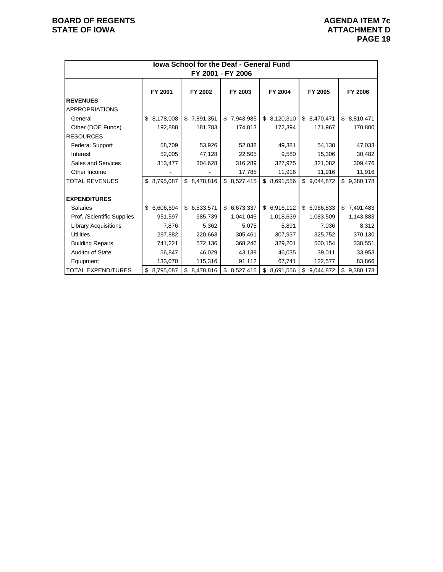| lowa School for the Deaf - General Fund<br>FY 2001 - FY 2006 |                 |                 |             |             |                 |             |  |  |  |
|--------------------------------------------------------------|-----------------|-----------------|-------------|-------------|-----------------|-------------|--|--|--|
|                                                              | FY 2001         | FY 2002         | FY 2003     | FY 2004     | FY 2005         | FY 2006     |  |  |  |
| <b>REVENUES</b><br><b>APPROPRIATIONS</b>                     |                 |                 |             |             |                 |             |  |  |  |
| General                                                      | 8,178,008<br>\$ | \$7,891,351     | \$7,943,985 | \$8,120,310 | \$8,470,471     | \$8,810,471 |  |  |  |
| Other (DOE Funds)                                            | 192,888         | 181,783         | 174,813     | 172,394     | 171,967         | 170,800     |  |  |  |
| <b>RESOURCES</b>                                             |                 |                 |             |             |                 |             |  |  |  |
| <b>Federal Support</b>                                       | 58,709          | 53,926          | 52,038      | 49,381      | 54,130          | 47,033      |  |  |  |
| Interest                                                     | 52,005          | 47,128          | 22,505      | 9,580       | 15,306          | 30,482      |  |  |  |
| Sales and Services                                           | 313,477         | 304,628         | 316,289     | 327,975     | 321,082         | 309,476     |  |  |  |
| Other Income                                                 |                 |                 | 17,785      | 11,916      | 11,916          | 11,916      |  |  |  |
| <b>TOTAL REVENUES</b>                                        | \$ 8,795,087    | \$<br>8,478,816 | \$8,527,415 | \$8,691,556 | \$<br>9,044,872 | \$9,380,178 |  |  |  |
|                                                              |                 |                 |             |             |                 |             |  |  |  |
| <b>EXPENDITURES</b>                                          |                 |                 |             |             |                 |             |  |  |  |
| <b>Salaries</b>                                              | 6,606,594<br>\$ | \$6,533,571     | \$6,673,337 | \$6,916,112 | 6,966,833<br>\$ | \$7,401,483 |  |  |  |
| Prof. /Scientific Supplies                                   | 951,597         | 985,739         | 1,041,045   | 1,018,639   | 1,083,509       | 1,143,883   |  |  |  |
| <b>Library Acquisitions</b>                                  | 7,876           | 5,362           | 5,075       | 5,891       | 7,036           | 8,312       |  |  |  |
| <b>Utilities</b>                                             | 297,882         | 220,663         | 305,461     | 307,937     | 325,752         | 370,130     |  |  |  |
| <b>Building Repairs</b>                                      | 741,221         | 572,136         | 368,246     | 329,201     | 500,154         | 338,551     |  |  |  |
| <b>Auditor of State</b>                                      | 56,847          | 46,029          | 43,139      | 46,035      | 39,011          | 33,953      |  |  |  |
| Equipment                                                    | 133,070         | 115,316         | 91,112      | 67,741      | 122,577         | 83,866      |  |  |  |
| <b>TOTAL EXPENDITURES</b>                                    | \$8,795,087     | 8,478,816<br>\$ | \$8,527,415 | \$8,691,556 | \$<br>9,044,872 | \$9,380,178 |  |  |  |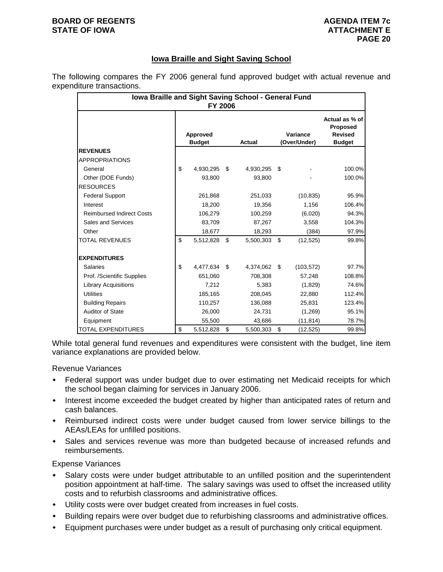#### **BOARD OF REGENTS AGENUS AGENDA ITEM 7c STATE OF IOWA ATTACHMENT E**

# **Iowa Braille and Sight Saving School**

The following compares the FY 2006 general fund approved budget with actual revenue and expenditure transactions.

| Iowa Braille and Sight Saving School - General Fund<br><b>FY 2006</b> |                           |           |    |               |    |                          |                                                               |  |  |
|-----------------------------------------------------------------------|---------------------------|-----------|----|---------------|----|--------------------------|---------------------------------------------------------------|--|--|
|                                                                       | Approved<br><b>Budget</b> |           |    | <b>Actual</b> |    | Variance<br>(Over/Under) | Actual as % of<br>Proposed<br><b>Revised</b><br><b>Budget</b> |  |  |
| <b>REVENUES</b>                                                       |                           |           |    |               |    |                          |                                                               |  |  |
| <b>APPROPRIATIONS</b>                                                 |                           |           |    |               |    |                          |                                                               |  |  |
| General                                                               | \$                        | 4,930,295 | \$ | 4,930,295     | \$ |                          | 100.0%                                                        |  |  |
| Other (DOE Funds)                                                     |                           | 93,800    |    | 93,800        |    |                          | 100.0%                                                        |  |  |
| <b>RESOURCES</b>                                                      |                           |           |    |               |    |                          |                                                               |  |  |
| <b>Federal Support</b>                                                |                           | 261,868   |    | 251,033       |    | (10, 835)                | 95.9%                                                         |  |  |
| Interest                                                              |                           | 18,200    |    | 19,356        |    | 1,156                    | 106.4%                                                        |  |  |
| <b>Reimbursed Indirect Costs</b>                                      |                           | 106,279   |    | 100,259       |    | (6,020)                  | 94.3%                                                         |  |  |
| Sales and Services                                                    |                           | 83,709    |    | 87,267        |    | 3,558                    | 104.3%                                                        |  |  |
| Other                                                                 |                           | 18,677    |    | 18,293        |    | (384)                    | 97.9%                                                         |  |  |
| <b>TOTAL REVENUES</b>                                                 | \$                        | 5,512,828 | \$ | 5,500,303     | \$ | (12, 525)                | 99.8%                                                         |  |  |
| <b>EXPENDITURES</b>                                                   |                           |           |    |               |    |                          |                                                               |  |  |
| <b>Salaries</b>                                                       | \$                        | 4,477,634 | \$ | 4,374,062     | \$ | (103, 572)               | 97.7%                                                         |  |  |
| Prof. /Scientific Supplies                                            |                           | 651,060   |    | 708,308       |    | 57,248                   | 108.8%                                                        |  |  |
| <b>Library Acquisitions</b>                                           |                           | 7,212     |    | 5,383         |    | (1,829)                  | 74.6%                                                         |  |  |
| <b>Utilities</b>                                                      |                           | 185,165   |    | 208,045       |    | 22,880                   | 112.4%                                                        |  |  |
| <b>Building Repairs</b>                                               |                           | 110,257   |    | 136,088       |    | 25,831                   | 123.4%                                                        |  |  |
| <b>Auditor of State</b>                                               |                           | 26,000    |    | 24,731        |    | (1,269)                  | 95.1%                                                         |  |  |
| Equipment                                                             |                           | 55,500    |    | 43,686        |    | (11, 814)                | 78.7%                                                         |  |  |
| <b>TOTAL EXPENDITURES</b>                                             | \$                        | 5,512,828 | \$ | 5,500,303     | \$ | (12, 525)                | 99.8%                                                         |  |  |

While total general fund revenues and expenditures were consistent with the budget, line item variance explanations are provided below.

Revenue Variances

- Federal support was under budget due to over estimating net Medicaid receipts for which the school began claiming for services in January 2006.
- Interest income exceeded the budget created by higher than anticipated rates of return and cash balances.
- Reimbursed indirect costs were under budget caused from lower service billings to the AEAs/LEAs for unfilled positions.
- Sales and services revenue was more than budgeted because of increased refunds and reimbursements.

Expense Variances

- Salary costs were under budget attributable to an unfilled position and the superintendent position appointment at half-time. The salary savings was used to offset the increased utility costs and to refurbish classrooms and administrative offices.
- Utility costs were over budget created from increases in fuel costs.
- Building repairs were over budget due to refurbishing classrooms and administrative offices.
- Equipment purchases were under budget as a result of purchasing only critical equipment.